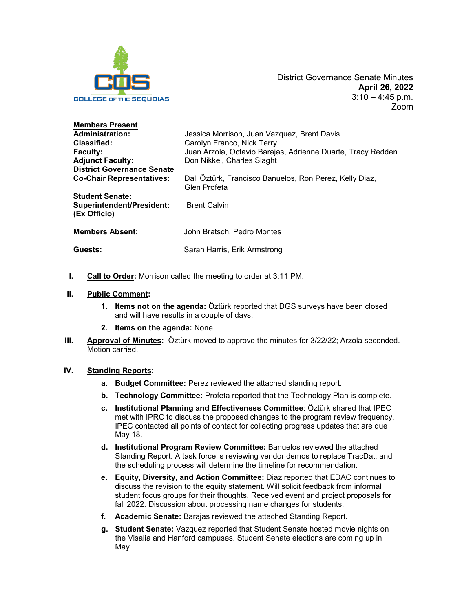

| <b>Members Present</b>                    |                                                                         |
|-------------------------------------------|-------------------------------------------------------------------------|
| <b>Administration:</b>                    | Jessica Morrison, Juan Vazquez, Brent Davis                             |
| <b>Classified:</b>                        | Carolyn Franco, Nick Terry                                              |
| <b>Faculty:</b>                           | Juan Arzola, Octavio Barajas, Adrienne Duarte, Tracy Redden             |
| <b>Adjunct Faculty:</b>                   | Don Nikkel, Charles Slaght                                              |
| <b>District Governance Senate</b>         |                                                                         |
| <b>Co-Chair Representatives:</b>          | Dali Öztürk, Francisco Banuelos, Ron Perez, Kelly Diaz,<br>Glen Profeta |
| <b>Student Senate:</b>                    |                                                                         |
| Superintendent/President:<br>(Ex Officio) | <b>Brent Calvin</b>                                                     |
| <b>Members Absent:</b>                    | John Bratsch, Pedro Montes                                              |
| Guests:                                   | Sarah Harris, Erik Armstrong                                            |

**I. Call to Order:** Morrison called the meeting to order at 3:11 PM.

## **II. Public Comment:**

- **1. Items not on the agenda:** Öztürk reported that DGS surveys have been closed and will have results in a couple of days.
- **2. Items on the agenda:** None.
- **III. Approval of Minutes:** Öztürk moved to approve the minutes for 3/22/22; Arzola seconded. Motion carried.

## **IV. Standing Reports:**

- **a. Budget Committee:** Perez reviewed the attached standing report.
- **b. Technology Committee:** Profeta reported that the Technology Plan is complete.
- **c. Institutional Planning and Effectiveness Committee**: Öztürk shared that IPEC met with IPRC to discuss the proposed changes to the program review frequency. IPEC contacted all points of contact for collecting progress updates that are due May 18.
- **d. Institutional Program Review Committee:** Banuelos reviewed the attached Standing Report. A task force is reviewing vendor demos to replace TracDat, and the scheduling process will determine the timeline for recommendation.
- **e. Equity, Diversity, and Action Committee:** Diaz reported that EDAC continues to discuss the revision to the equity statement. Will solicit feedback from informal student focus groups for their thoughts. Received event and project proposals for fall 2022. Discussion about processing name changes for students.
- **f. Academic Senate:** Barajas reviewed the attached Standing Report.
- **g. Student Senate:** Vazquez reported that Student Senate hosted movie nights on the Visalia and Hanford campuses. Student Senate elections are coming up in May.